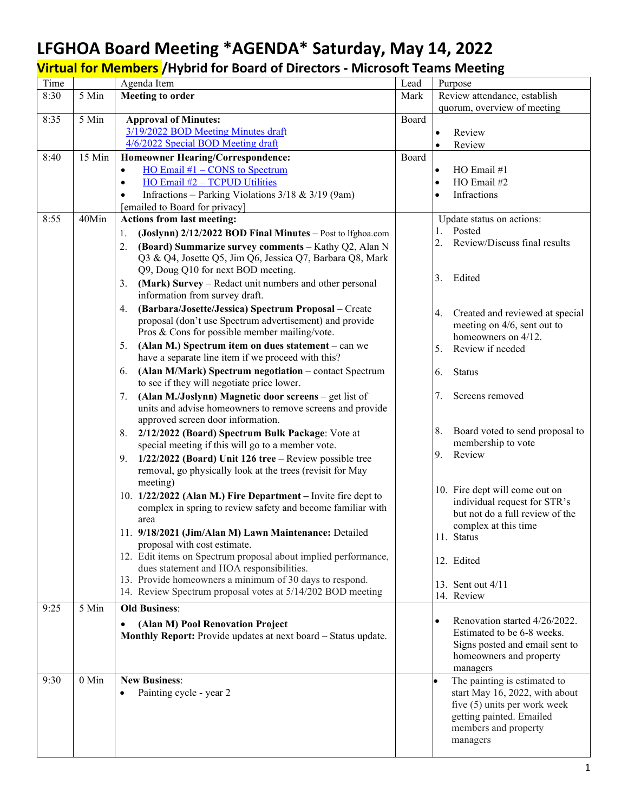## **LFGHOA Board Meeting \*AGENDA\* Saturday, May 14, 2022**

**Virtual for Members /Hybrid for Board of Directors - Microsoft Teams Meeting**

| Time |         | Agenda Item                                                                                                                  | Lead  | Purpose                                                      |
|------|---------|------------------------------------------------------------------------------------------------------------------------------|-------|--------------------------------------------------------------|
| 8:30 | 5 Min   | <b>Meeting to order</b>                                                                                                      | Mark  | Review attendance, establish                                 |
|      |         |                                                                                                                              |       | quorum, overview of meeting                                  |
| 8:35 | 5 Min   | <b>Approval of Minutes:</b><br>3/19/2022 BOD Meeting Minutes draft                                                           | Board |                                                              |
|      |         | 4/6/2022 Special BOD Meeting draft                                                                                           |       | Review<br>Review                                             |
| 8:40 | 15 Min  | <b>Homeowner Hearing/Correspondence:</b>                                                                                     | Board |                                                              |
|      |         | $\underline{HO}$ Email #1 – CONS to Spectrum<br>$\bullet$                                                                    |       | HO Email #1                                                  |
|      |         | HO Email #2 - TCPUD Utilities<br>$\bullet$                                                                                   |       | HO Email #2                                                  |
|      |         | Infractions - Parking Violations $3/18$ & $3/19$ (9am)                                                                       |       | Infractions                                                  |
|      |         | [emailed to Board for privacy]                                                                                               |       |                                                              |
| 8:55 | 40Min   | <b>Actions from last meeting:</b>                                                                                            |       | Update status on actions:                                    |
|      |         | (Joslynn) 2/12/2022 BOD Final Minutes - Post to lfghoa.com<br>1.                                                             |       | Posted                                                       |
|      |         | (Board) Summarize survey comments - Kathy Q2, Alan N<br>2.                                                                   |       | 2.<br>Review/Discuss final results                           |
|      |         | Q3 & Q4, Josette Q5, Jim Q6, Jessica Q7, Barbara Q8, Mark                                                                    |       |                                                              |
|      |         | Q9, Doug Q10 for next BOD meeting.                                                                                           |       | Edited<br>3.                                                 |
|      |         | (Mark) Survey – Redact unit numbers and other personal<br>3.                                                                 |       |                                                              |
|      |         | information from survey draft.                                                                                               |       |                                                              |
|      |         | (Barbara/Josette/Jessica) Spectrum Proposal - Create<br>4.                                                                   |       | Created and reviewed at special<br>4.                        |
|      |         | proposal (don't use Spectrum advertisement) and provide                                                                      |       | meeting on 4/6, sent out to                                  |
|      |         | Pros & Cons for possible member mailing/vote.                                                                                |       | homeowners on 4/12.                                          |
|      |         | (Alan M.) Spectrum item on dues statement $-$ can we<br>5.<br>have a separate line item if we proceed with this?             |       | 5.<br>Review if needed                                       |
|      |         | (Alan M/Mark) Spectrum negotiation - contact Spectrum<br>6.                                                                  |       | 6.<br><b>Status</b>                                          |
|      |         | to see if they will negotiate price lower.                                                                                   |       |                                                              |
|      |         | (Alan M./Joslynn) Magnetic door screens - get list of<br>7.                                                                  |       | 7.<br>Screens removed                                        |
|      |         | units and advise homeowners to remove screens and provide                                                                    |       |                                                              |
|      |         | approved screen door information.                                                                                            |       |                                                              |
|      |         | 8. 2/12/2022 (Board) Spectrum Bulk Package: Vote at                                                                          |       | 8.<br>Board voted to send proposal to                        |
|      |         | special meeting if this will go to a member vote.                                                                            |       | membership to vote                                           |
|      |         | 9. $1/22/2022$ (Board) Unit 126 tree – Review possible tree                                                                  |       | 9.<br>Review                                                 |
|      |         | removal, go physically look at the trees (revisit for May                                                                    |       |                                                              |
|      |         | meeting)                                                                                                                     |       | 10. Fire dept will come out on                               |
|      |         | 10. 1/22/2022 (Alan M.) Fire Department - Invite fire dept to<br>complex in spring to review safety and become familiar with |       | individual request for STR's                                 |
|      |         | area                                                                                                                         |       | but not do a full review of the                              |
|      |         | 11. 9/18/2021 (Jim/Alan M) Lawn Maintenance: Detailed                                                                        |       | complex at this time                                         |
|      |         | proposal with cost estimate.                                                                                                 |       | 11. Status                                                   |
|      |         | 12. Edit items on Spectrum proposal about implied performance,                                                               |       | 12. Edited                                                   |
|      |         | dues statement and HOA responsibilities.                                                                                     |       |                                                              |
|      |         | 13. Provide homeowners a minimum of 30 days to respond.                                                                      |       | 13. Sent out 4/11                                            |
|      |         | 14. Review Spectrum proposal votes at 5/14/202 BOD meeting                                                                   |       | 14. Review                                                   |
| 9:25 | 5 Min   | <b>Old Business:</b>                                                                                                         |       |                                                              |
|      |         | (Alan M) Pool Renovation Project                                                                                             |       | Renovation started 4/26/2022.<br>$\bullet$                   |
|      |         | Monthly Report: Provide updates at next board - Status update.                                                               |       | Estimated to be 6-8 weeks.<br>Signs posted and email sent to |
|      |         |                                                                                                                              |       | homeowners and property                                      |
|      |         |                                                                                                                              |       | managers                                                     |
| 9:30 | $0$ Min | <b>New Business:</b>                                                                                                         |       | The painting is estimated to                                 |
|      |         | Painting cycle - year 2                                                                                                      |       | start May 16, 2022, with about                               |
|      |         |                                                                                                                              |       | five $(5)$ units per work week                               |
|      |         |                                                                                                                              |       | getting painted. Emailed                                     |
|      |         |                                                                                                                              |       | members and property                                         |
|      |         |                                                                                                                              |       | managers                                                     |